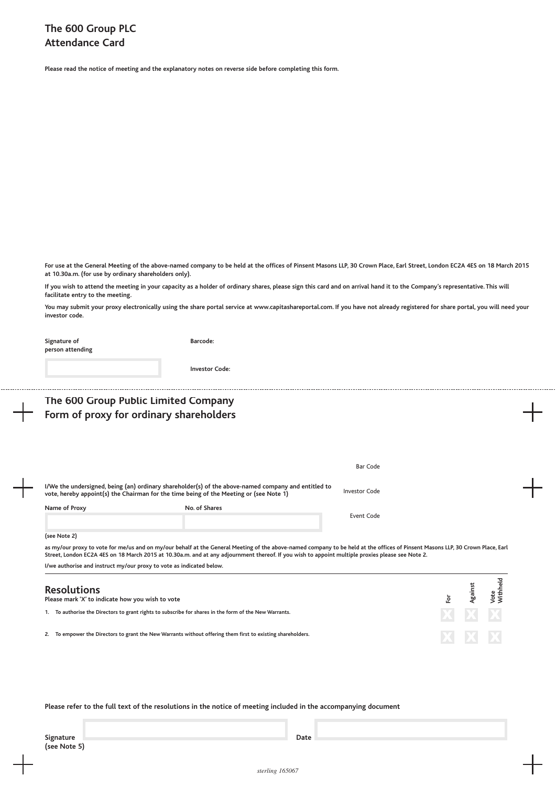**Please read the notice of meeting and the explanatory notes on reverse side before completing this form.**

**For use at the General Meeting of the above-named company to be held at the offices of Pinsent Masons LLP, 30 Crown Place, Earl Street, London EC2A 4ES on 18 March 2015 at 10.30a.m. (for use by ordinary shareholders only).**

**If you wish to attend the meeting in your capacity as a holder of ordinary shares, please sign this card and on arrival hand it to the Company's representative. This will facilitate entry to the meeting.**

**You may submit your proxy electronically using the share portal service at www.capitashareportal.com. If you have not already registered for share portal, you will need your investor code.**

| Signature of<br>person attending                                                | Barcode:                                                                                                                                                                                                                                                                                                                           |                      |     |         |                         |
|---------------------------------------------------------------------------------|------------------------------------------------------------------------------------------------------------------------------------------------------------------------------------------------------------------------------------------------------------------------------------------------------------------------------------|----------------------|-----|---------|-------------------------|
|                                                                                 | <b>Investor Code:</b>                                                                                                                                                                                                                                                                                                              |                      |     |         |                         |
| The 600 Group Public Limited Company<br>Form of proxy for ordinary shareholders |                                                                                                                                                                                                                                                                                                                                    |                      |     |         |                         |
|                                                                                 |                                                                                                                                                                                                                                                                                                                                    | Bar Code             |     |         |                         |
|                                                                                 | I/We the undersigned, being (an) ordinary shareholder(s) of the above-named company and entitled to<br>vote, hereby appoint(s) the Chairman for the time being of the Meeting or (see Note 1)                                                                                                                                      | <b>Investor Code</b> |     |         |                         |
| Name of Proxy                                                                   | No. of Shares                                                                                                                                                                                                                                                                                                                      | Event Code           |     |         |                         |
| (see Note 2)                                                                    |                                                                                                                                                                                                                                                                                                                                    |                      |     |         |                         |
|                                                                                 | as my/our proxy to vote for me/us and on my/our behalf at the General Meeting of the above-named company to be held at the offices of Pinsent Masons LLP, 30 Crown Place, Earl<br>Street, London EC2A 4ES on 18 March 2015 at 10.30a.m. and at any adjournment thereof. If you wish to appoint multiple proxies please see Note 2. |                      |     |         |                         |
| I/we authorise and instruct my/our proxy to vote as indicated below.            |                                                                                                                                                                                                                                                                                                                                    |                      |     |         |                         |
| <b>Resolutions</b><br>Please mark 'X' to indicate how you wish to vote          |                                                                                                                                                                                                                                                                                                                                    |                      | ŀōτ | Against | <b>Nithheld</b><br>Vote |
|                                                                                 | 1. To authorise the Directors to grant rights to subscribe for shares in the form of the New Warrants.                                                                                                                                                                                                                             |                      |     |         |                         |
|                                                                                 | 2. To empower the Directors to grant the New Warrants without offering them first to existing shareholders.                                                                                                                                                                                                                        |                      |     |         |                         |
|                                                                                 |                                                                                                                                                                                                                                                                                                                                    |                      |     |         |                         |

**Please refer to the full text of the resolutions in the notice of meeting included in the accompanying document**